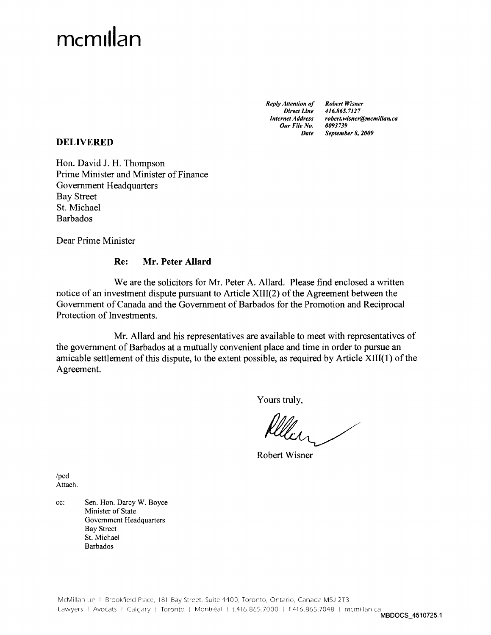# mcmillan

*Reply Attention of Direct Line Internet Address Our File No. Date* *Robert Wisner 416.865.7127 robert.wisner@mcmillan.ca 0093739 September 8, 2009*

# **DELIVERED**

Hon. David J. H. Thompson Prime Minister and Minister of Finance Government Headquarters Bay Street St. Michael Barbados

Dear Prime Minister

# **Re: Mr. Peter Allard**

We are the solicitors for Mr. Peter A. Allard. Please find enclosed a written notice of an investment dispute pursuant to Article XIII(2) of the Agreement between the Government of Canada and the Government of Barbados for the Promotion and Reciprocal Protection of Investments.

Mr. Allard and his representatives are available to meet with representatives of the government of Barbados at a mutually convenient place and time in order to pursue an amicable settlement of this dispute, to the extent possible, as required by Article XIII(l) of the Agreement.

Yours truly,

Robert Wisner

/ped Attach.

cc: Sen. Hon. Darcy W. Boyce Minister of State Government Headquarters Bay Street St. Michael Barbados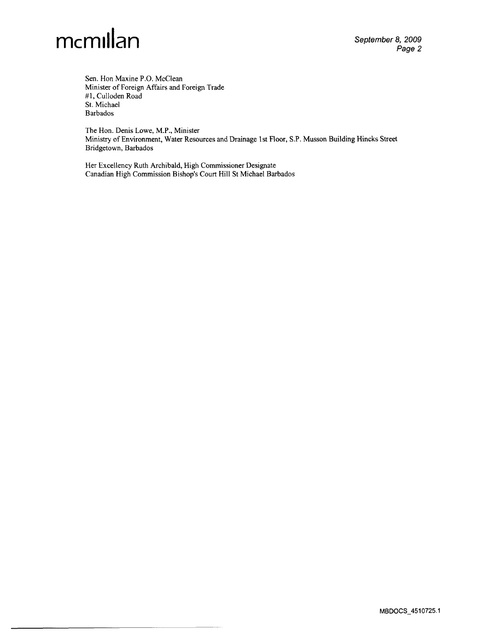

Sen. Hon Maxine P.O. McClean Minister of Foreign Affairs and Foreign Trade #1, Culloden Road St. Michael Barbados

The Hon. Denis Lowe, M.P., Minister Ministry of Environment, Water Resources and Drainage 1st Floor, S.P. Musson Building Hincks Street Bridgetown, Barbados

Her Excellency Ruth Archibald, High Commissioner Designate Canadian High Commission Bishop's Court Hill St Michael Barbados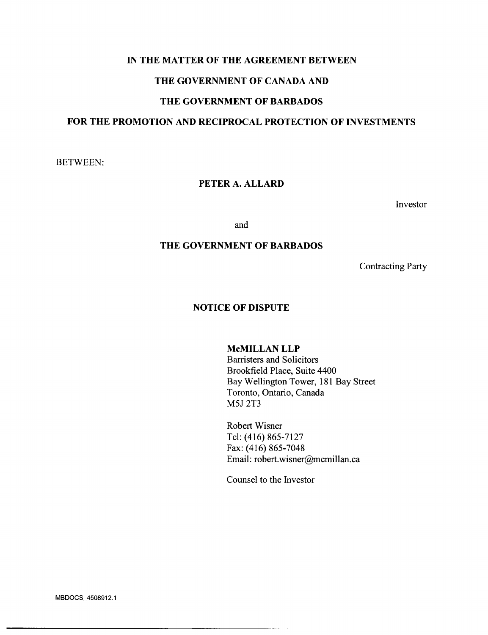## **IN THE MATTER OF THE AGREEMENT BETWEEN**

## **THE GOVERNMENT OF CANADA AND**

# **THE GOVERNMENT OF BARBADOS**

# **FOR THE PROMOTION AND RECIPROCAL PROTECTION OF INVESTMENTS**

BETWEEN:

# **PETER A. ALLARD**

Investor

and

# **THE GOVERNMENT OF BARBADOS**

Contracting Party

## **NOTICE OF DISPUTE**

#### McMILLAN LLP

Barristers and Solicitors Brookfield Place, Suite 4400 Bay Wellington Tower, 181 Bay Street Toronto, Ontario, Canada M5J 2T3

Robert Wisner Tel: (416) 865-7127 Fax: (416) 865-7048 Email: robert.wisner@mcmillan.ca

Counsel to the Investor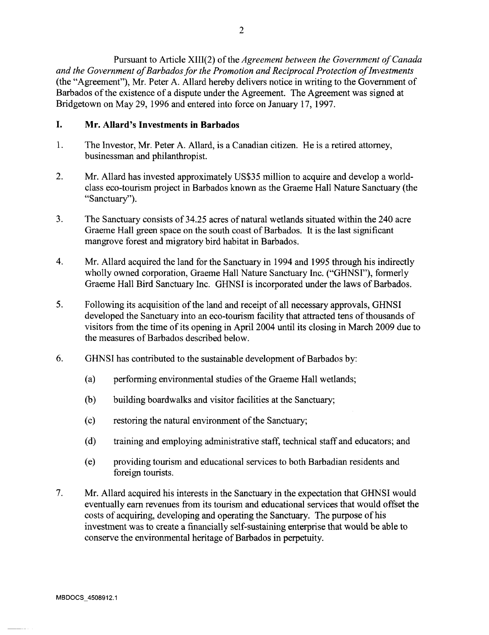Pursuant to Article XIII(2) of the *Agreement between the Government of Canada and the Government of Barbados for the Promotion and Reciprocal Protection of Investments* (the "Agreement"), Mr. Peter A. Allard hereby delivers notice in writing to the Government of Barbados of the existence of a dispute under the Agreement. The Agreement was signed at Bridgetown on May 29, 1996 and entered into force on January 17, 1997.

# **I. Mr. Allard's Investments in Barbados**

- 1. The Investor, Mr. Peter A. Allard, is a Canadian citizen. He is a retired attorney, businessman and philanthropist.
- 2. Mr. Allard has invested approximately US\$35 million to acquire and develop a worldclass eco-tourism project in Barbados known as the Graeme Hall Nature Sanctuary (the "Sanctuary").
- 3. The Sanctuary consists of 34.25 acres of natural wetlands situated within the 240 acre Graeme Hall green space on the south coast of Barbados. It is the last significant mangrove forest and migratory bird habitat in Barbados.
- 4. Mr. Allard acquired the land for the Sanctuary in 1994 and 1995 through his indirectly wholly owned corporation, Graeme Hall Nature Sanctuary Inc. ("GHNSI"), formerly Graeme Hall Bird Sanctuary Inc. GHNSI is incorporated under the laws of Barbados.
- 5. Following its acquisition of the land and receipt of all necessary approvals, GHNSI developed the Sanctuary into an eco-tourism facility that attracted tens of thousands of visitors from the time of its opening in April 2004 until its closing in March 2009 due to the measures of Barbados described below.
- 6. GHNSI has contributed to the sustainable development of Barbados by:
	- (a) performing environmental studies of the Graeme Hall wetlands;
	- (b) building boardwalks and visitor facilities at the Sanctuary;
	- (c) restoring the natural environment of the Sanctuary;
	- (d) training and employing administrative staff, technical staff and educators; and
	- (e) providing tourism and educational services to both Barbadian residents and foreign tourists.
- 7. Mr. Allard acquired his interests in the Sanctuary in the expectation that GHNSI would eventually earn revenues from its tourism and educational services that would offset the costs of acquiring, developing and operating the Sanctuary. The purpose of his investment was to create a financially self-sustaining enterprise that would be able to conserve the environmental heritage of Barbados in perpetuity.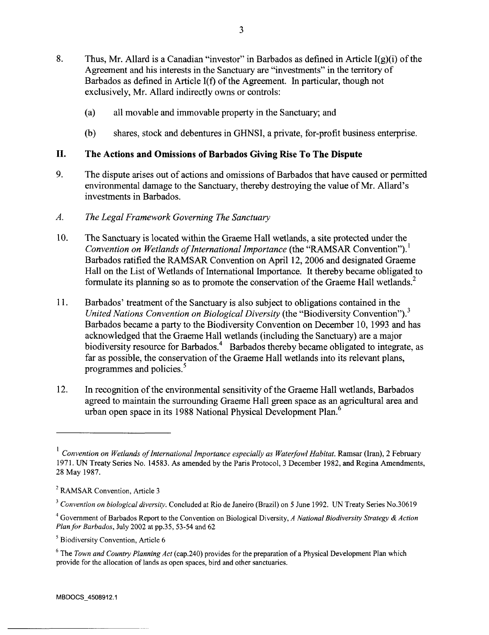- 8. Thus, Mr. Allard is a Canadian "investor" in Barbados as defined in Article  $I(g)(i)$  of the Agreement and his interests in the Sanctuary are "investments" in the territory of Barbados as defined in Article I(f) of the Agreement. In particular, though not exclusively, Mr. Allard indirectly owns or controls:
	- (a) all movable and immovable property in the Sanctuary; and
	- (b) shares, stock and debentures in GHNSI, a private, for-profit business enterprise.

# **II. The Actions and Omissions of Barbados Giving Rise To The Dispute**

- 9. The dispute arises out of actions and omissions of Barbados that have caused or permitted environmental damage to the Sanctuary, thereby destroying the value of Mr. Allard's investments in Barbados.
- *A. The Legal Framework Governing The Sanctuary*
- 10. The Sanctuary is located within the Graeme Hall wetlands, a site protected under the *Convention on Wetlands of International Importance* (the "RAMSAR Convention").<sup>1</sup> Barbados ratified the RAMSAR Convention on April 12, 2006 and designated Graeme Hall on the List of Wetlands of International Importance. It thereby became obligated to formulate its planning so as to promote the conservation of the Graeme Hall wetlands.<sup>2</sup>
- 11. Barbados' treatment of the Sanctuary is also subject to obligations contained in the *United Nations Convention on Biological Diversity* (the "Biodiversity Convention").<sup>3</sup> Barbados became a party to the Biodiversity Convention on December 10, 1993 and has acknowledged that the Graeme Hall wetlands (including the Sanctuary) are a major biodiversity resource for Barbados.<sup>4</sup> Barbados thereby became obligated to integrate, as far as possible, the conservation of the Graeme Hall wetlands into its relevant plans, programmes and policies.<sup>5</sup>
- 12. In recognition of the environmental sensitivity of the Graeme Hall wetlands, Barbados agreed to maintain the surrounding Graeme Hall green space as an agricultural area and urban open space in its 1988 National Physical Development Plan.<sup>6</sup>

<sup>&</sup>lt;sup>1</sup> Convention on Wetlands of International Importance especially as Waterfowl Habitat. Ramsar (Iran), 2 February 1971. UN Treaty Series No. 14583. As amended by the Paris Protocol, 3 December 1982, and Regina Amendments, 28 May 1987.

<sup>&</sup>lt;sup>2</sup> RAMSAR Convention, Article 3

<sup>&</sup>lt;sup>3</sup> Convention on biological diversity. Concluded at Rio de Janeiro (Brazil) on 5 June 1992. UN Treaty Series No.30619

Government of Barbados Report to the Convention on Biological Diversity, *A National Biodiversity Strategy & Action Plan for Barbados,* July 2002 at pp.35, 53-54 and 62

<sup>&</sup>lt;sup>5</sup> Biodiversity Convention, Article 6

<sup>&</sup>lt;sup>6</sup> The *Town and Country Planning Act* (cap.240) provides for the preparation of a Physical Development Plan which provide for the allocation of lands as open spaces, bird and other sanctuaries.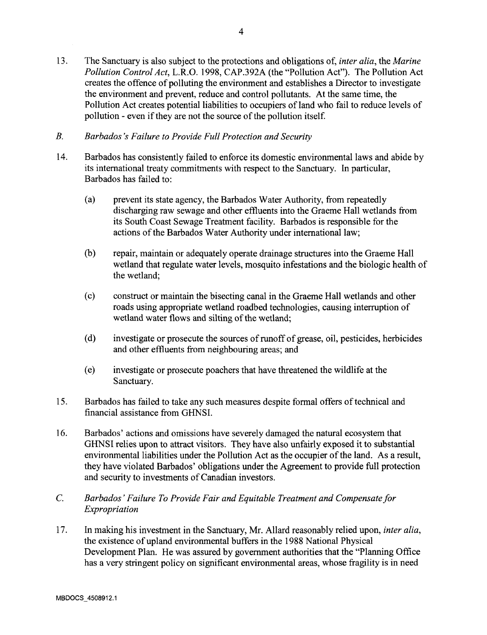- 13. The Sanctuary is also subject to the protections and obligations of, *inter alia,* the *Marine Pollution Control Act,* L.R.O. 1998, CAP.392A (the "Pollution Act"). The Pollution Act creates the offence of polluting the environment and establishes a Director to investigate the environment and prevent, reduce and control pollutants. At the same time, the Pollution Act creates potential liabilities to occupiers of land who fail to reduce levels of pollution - even if they are not the source of the pollution itself.
- *B. Barbados's Failure to Provide Full Protection and Security*
- 14. Barbados has consistently failed to enforce its domestic environmental laws and abide by its international treaty commitments with respect to the Sanctuary. In particular, Barbados has failed to:
	- (a) prevent its state agency, the Barbados Water Authority, from repeatedly discharging raw sewage and other effluents into the Graeme Hall wetlands from its South Coast Sewage Treatment facility. Barbados is responsible for the actions of the Barbados Water Authority under international law;
	- (b) repair, maintain or adequately operate drainage structures into the Graeme Hall wetland that regulate water levels, mosquito infestations and the biologic health of the wetland;
	- (c) construct or maintain the bisecting canal in the Graeme Hall wetlands and other roads using appropriate wetland roadbed technologies, causing interruption of wetland water flows and silting of the wetland;
	- (d) investigate or prosecute the sources of runoff of grease, oil, pesticides, herbicides and other effluents from neighbouring areas; and
	- (e) investigate or prosecute poachers that have threatened the wildlife at the Sanctuary.
- 15. Barbados has failed to take any such measures despite formal offers of technical and financial assistance from GHNSI.
- 16. Barbados' actions and omissions have severely damaged the natural ecosystem that GHNSI relies upon to attract visitors. They have also unfairly exposed it to substantial environmental liabilities under the Pollution Act as the occupier of the land. As a result, they have violated Barbados' obligations under the Agreement to provide full protection and security to investments of Canadian investors.
- *C. Barbados' Failure To Provide Fair and Equitable Treatment and Compensate for Expropriation*
- 17. In making his investment in the Sanctuary, Mr. Allard reasonably relied upon, *inter alia,* the existence of upland environmental buffers in the 1988 National Physical Development Plan. He was assured by government authorities that the "Planning Office has a very stringent policy on significant environmental areas, whose fragility is in need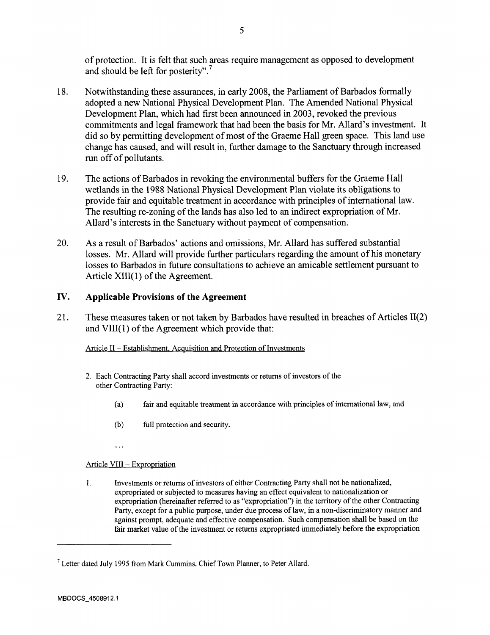of protection. It is felt that such areas require management as opposed to development and should be left for posterity".<sup>7</sup>

- 18. Notwithstanding these assurances, in early 2008, the Parliament of Barbados formally adopted a new National Physical Development Plan. The Amended National Physical Development Plan, which had first been announced in 2003, revoked the previous commitments and legal framework that had been the basis for Mr. Allard's investment. It did so by permitting development of most of the Graeme Hall green space. This land use change has caused, and will result in, further damage to the Sanctuary through increased run off of pollutants.
- 19. The actions of Barbados in revoking the environmental buffers for the Graeme Hall wetlands in the 1988 National Physical Development Plan violate its obligations to provide fair and equitable treatment in accordance with principles of international law. The resulting re-zoning of the lands has also led to an indirect expropriation of Mr. Allard's interests in the Sanctuary without payment of compensation.
- 20. As a result of Barbados' actions and omissions, Mr. Allard has suffered substantial losses. Mr. Allard will provide further particulars regarding the amount of his monetary losses to Barbados in future consultations to achieve an amicable settlement pursuant to Article XIII(l) of the Agreement.

# **IV. Applicable Provisions of the Agreement**

21. These measures taken or not taken by Barbados have resulted in breaches of Articles 11(2) and VIII(l) of the Agreement which provide that:

Article II – Establishment, Acquisition and Protection of Investments

- 2. Each Contracting Party shall accord investments or returns of investors of the other Contracting Party:
	- (a) fair and equitable treatment in accordance with principles of international law, and
	- (b) full protection and security.
	- $\ddotsc$

## Article VIII - Expropriation

1. Investments or returns of investors of either Contracting Party shall not be nationalized, expropriated or subjected to measures having an effect equivalent to nationalization or expropriation (hereinafter referred to as "expropriation") in the territory of the other Contracting Party, except for a public purpose, under due process of law, in a non-discriminatory manner and against prompt, adequate and effective compensation. Such compensation shall be based on the fair market value of the investment or returns expropriated immediately before the expropriation

<sup>&</sup>lt;sup>7</sup> Letter dated July 1995 from Mark Cummins, Chief Town Planner, to Peter Allard.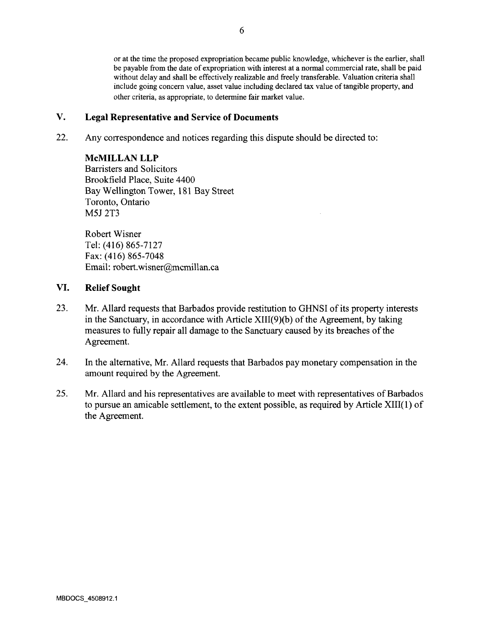or at the time the proposed expropriation became public knowledge, whichever is the earlier, shall be payable from the date of expropriation with interest at a normal commercial rate, shall be paid without delay and shall be effectively realizable and freely transferable. Valuation criteria shall include going concern value, asset value including declared tax value of tangible property, and other criteria, as appropriate, to determine fair market value.

# **V. Legal Representative and Service of Documents**

22. Any correspondence and notices regarding this dispute should be directed to:

## MCMILLAN LLP

Barristers and Solicitors Brookfield Place, Suite 4400 Bay Wellington Tower, 181 Bay Street Toronto, Ontario M5J 2T3

Robert Wisner Tel: (416) 865-7127 Fax: (416) 865-7048 Email: robert.wisner@mcmillan.ca

# **VI. Relief Sought**

- 23. Mr. Allard requests that Barbados provide restitution to GHNSI of its property interests in the Sanctuary, in accordance with Article XIII(9)(b) of the Agreement, by taking measures to fully repair all damage to the Sanctuary caused by its breaches of the Agreement.
- 24. In the alternative, Mr. Allard requests that Barbados pay monetary compensation in the amount required by the Agreement.
- 25. Mr. Allard and his representatives are available to meet with representatives of Barbados to pursue an amicable settlement, to the extent possible, as required by Article XIII(l) of the Agreement.